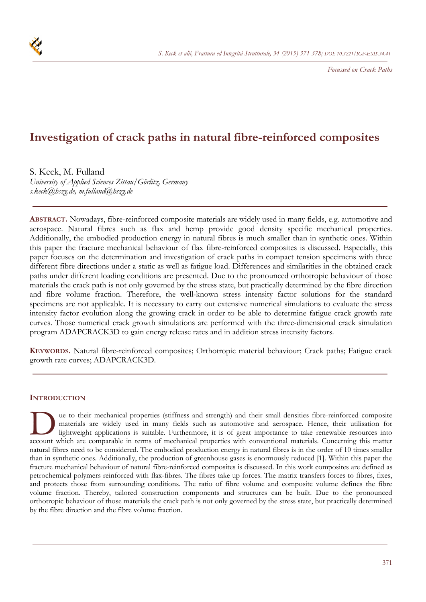

*Focussed on Crack Paths* 

# **Investigation of crack paths in natural fibre-reinforced composites**

S. Keck, M. Fulland

*University of Applied Sciences Zittau/Görlitz, Germany s.keck@hszg.de, m.fulland@hszg.de* 

**ABSTRACT.** Nowadays, fibre-reinforced composite materials are widely used in many fields, e.g. automotive and aerospace. Natural fibres such as flax and hemp provide good density specific mechanical properties. Additionally, the embodied production energy in natural fibres is much smaller than in synthetic ones. Within this paper the fracture mechanical behaviour of flax fibre-reinforced composites is discussed. Especially, this paper focuses on the determination and investigation of crack paths in compact tension specimens with three different fibre directions under a static as well as fatigue load. Differences and similarities in the obtained crack paths under different loading conditions are presented. Due to the pronounced orthotropic behaviour of those materials the crack path is not only governed by the stress state, but practically determined by the fibre direction and fibre volume fraction. Therefore, the well-known stress intensity factor solutions for the standard specimens are not applicable. It is necessary to carry out extensive numerical simulations to evaluate the stress intensity factor evolution along the growing crack in order to be able to determine fatigue crack growth rate curves. Those numerical crack growth simulations are performed with the three-dimensional crack simulation program ADAPCRACK3D to gain energy release rates and in addition stress intensity factors.

**KEYWORDS.** Natural fibre-reinforced composites; Orthotropic material behaviour; Crack paths; Fatigue crack growth rate curves; ADAPCRACK3D.

## **INTRODUCTION**

ue to their mechanical properties (stiffness and strength) and their small densities fibre-reinforced composite materials are widely used in many fields such as automotive and aerospace. Hence, their utilisation for lightweight applications is suitable. Furthermore, it is of great importance to take renewable resources into account which are comparable in terms of mechanical properties with conventional materials. Concerning this matter account which are comparable in terms of mechanical properties with conventional materials. Concerning this natural fibres need to be considered. The embodied production energy in natural fibres is in the order of 10 times smaller than in synthetic ones. Additionally, the production of greenhouse gases is enormously reduced [1]. Within this paper the fracture mechanical behaviour of natural fibre-reinforced composites is discussed. In this work composites are defined as petrochemical polymers reinforced with flax-fibres. The fibres take up forces. The matrix transfers forces to fibres, fixes, and protects those from surrounding conditions. The ratio of fibre volume and composite volume defines the fibre volume fraction. Thereby, tailored construction components and structures can be built. Due to the pronounced orthotropic behaviour of those materials the crack path is not only governed by the stress state, but practically determined by the fibre direction and the fibre volume fraction.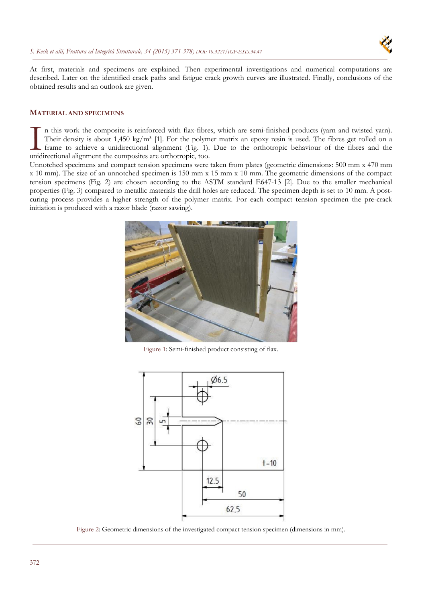

At first, materials and specimens are explained. Then experimental investigations and numerical computations are described. Later on the identified crack paths and fatigue crack growth curves are illustrated. Finally, conclusions of the obtained results and an outlook are given.

## **MATERIAL AND SPECIMENS**

n this work the composite is reinforced with flax-fibres, which are semi-finished products (yarn and twisted yarn). Their density is about 1,450 kg/m<sup>3</sup> [1]. For the polymer matrix an epoxy resin is used. The fibres get rolled on a frame to achieve a unidirectional alignment (Fig. 1). Due to the orthotropic behaviour of the fibres and the In this work the composite is reinforced with flax-fibres.<br>Their density is about 1,450 kg/m<sup>3</sup> [1]. For the polymetra frame to achieve a unidirectional alignment (Fig. 1).<br>unidirectional alignment the composites are orth

Unnotched specimens and compact tension specimens were taken from plates (geometric dimensions: 500 mm x 470 mm x 10 mm). The size of an unnotched specimen is 150 mm x 15 mm x 10 mm. The geometric dimensions of the compact tension specimens (Fig. 2) are chosen according to the ASTM standard E647-13 [2]. Due to the smaller mechanical properties (Fig. 3) compared to metallic materials the drill holes are reduced. The specimen depth is set to 10 mm. A postcuring process provides a higher strength of the polymer matrix. For each compact tension specimen the pre-crack initiation is produced with a razor blade (razor sawing).



Figure 1: Semi-finished product consisting of flax.



Figure 2: Geometric dimensions of the investigated compact tension specimen (dimensions in mm).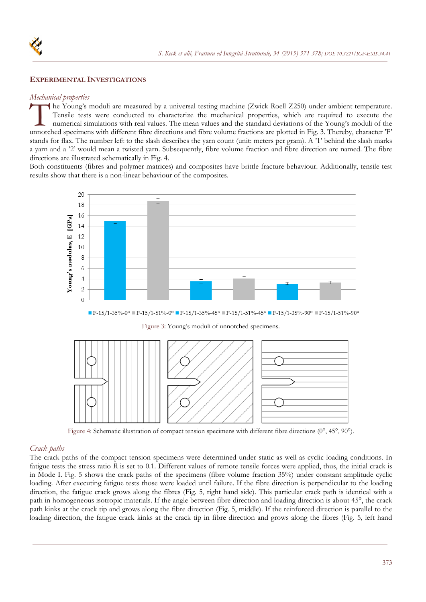

## **EXPERIMENTAL INVESTIGATIONS**

## *Mechanical properties*

he Young's moduli are measured by a universal testing machine (Zwick Roell Z250) under ambient temperature. Tensile tests were conducted to characterize the mechanical properties, which are required to execute the numerical simulations with real values. The mean values and the standard deviations of the Young's moduli of the The Young's moduli are measured by a universal testing machine (Zwick Roell Z250) under ambient temperature.<br>Tensile tests were conducted to characterize the mechanical properties, which are required to execute the numeric stands for flax. The number left to the slash describes the yarn count (unit: meters per gram). A '1' behind the slash marks a yarn and a '2' would mean a twisted yarn. Subsequently, fibre volume fraction and fibre direction are named. The fibre directions are illustrated schematically in Fig. 4.

Both constituents (fibres and polymer matrices) and composites have brittle fracture behaviour. Additionally, tensile test results show that there is a non-linear behaviour of the composites.



 $F-15/1-35% - 0$ ° F $F-15/1-51% - 0$ ° F $F-15/1-35% - 45$ ° F $F-15/1-51% - 45$ ° F $F-15/1-35% - 90$ ° F $F-15/1-51% - 90$ °





Figure 4: Schematic illustration of compact tension specimens with different fibre directions (0°, 45°, 90°).

#### *Crack paths*

The crack paths of the compact tension specimens were determined under static as well as cyclic loading conditions. In fatigue tests the stress ratio *R* is set to 0.1. Different values of remote tensile forces were applied, thus, the initial crack is in Mode I. Fig. 5 shows the crack paths of the specimens (fibre volume fraction 35%) under constant amplitude cyclic loading. After executing fatigue tests those were loaded until failure. If the fibre direction is perpendicular to the loading direction, the fatigue crack grows along the fibres (Fig. 5, right hand side). This particular crack path is identical with a path in homogeneous isotropic materials. If the angle between fibre direction and loading direction is about 45°, the crack path kinks at the crack tip and grows along the fibre direction (Fig. 5, middle). If the reinforced direction is parallel to the loading direction, the fatigue crack kinks at the crack tip in fibre direction and grows along the fibres (Fig. 5, left hand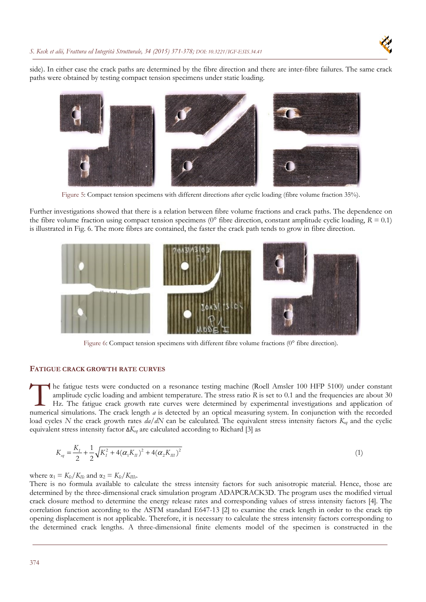side). In either case the crack paths are determined by the fibre direction and there are inter-fibre failures. The same crack paths were obtained by testing compact tension specimens under static loading.



Figure 5: Compact tension specimens with different directions after cyclic loading (fibre volume fraction 35%).

Further investigations showed that there is a relation between fibre volume fractions and crack paths. The dependence on the fibre volume fraction using compact tension specimens ( $0^{\circ}$  fibre direction, constant amplitude cyclic loading,  $R = 0.1$ ) is illustrated in Fig. 6. The more fibres are contained, the faster the crack path tends to grow in fibre direction.



Figure 6: Compact tension specimens with different fibre volume fractions (0° fibre direction).

#### **FATIGUE CRACK GROWTH RATE CURVES**

he fatigue tests were conducted on a resonance testing machine (Roell Amsler 100 HFP 5100) under constant amplitude cyclic loading and ambient temperature. The stress ratio R is set to 0.1 and the frequencies are about 30 Hz. The fatigue crack growth rate curves were determined by experimental investigations and application of The fatigue tests were conducted on a resonance testing machine (Roell Amsler 100 HFP 5100) under constant amplitude cyclic loading and ambient temperature. The stress ratio R is set to 0.1 and the frequencies are about 30 load cycles *N* the crack growth rates  $da/dN$  can be calculated. The equivalent stress intensity factors  $K_{eq}$  and the cyclic equivalent stress intensity factor Δ*Keq* are calculated according to Richard [3] as

$$
K_{eq} = \frac{K_I}{2} + \frac{1}{2} \sqrt{K_I^2 + 4(\alpha_1 K_H)^2 + 4(\alpha_2 K_H)^2}
$$
\n(1)

where  $\alpha_1 = K_{Ic}/K_{IIc}$  and  $\alpha_2 = K_{Ic}/K_{IIIc}$ .

There is no formula available to calculate the stress intensity factors for such anisotropic material. Hence, those are determined by the three-dimensional crack simulation program ADAPCRACK3D. The program uses the modified virtual crack closure method to determine the energy release rates and corresponding values of stress intensity factors [4]. The correlation function according to the ASTM standard E647-13 [2] to examine the crack length in order to the crack tip opening displacement is not applicable. Therefore, it is necessary to calculate the stress intensity factors corresponding to the determined crack lengths. A three-dimensional finite elements model of the specimen is constructed in the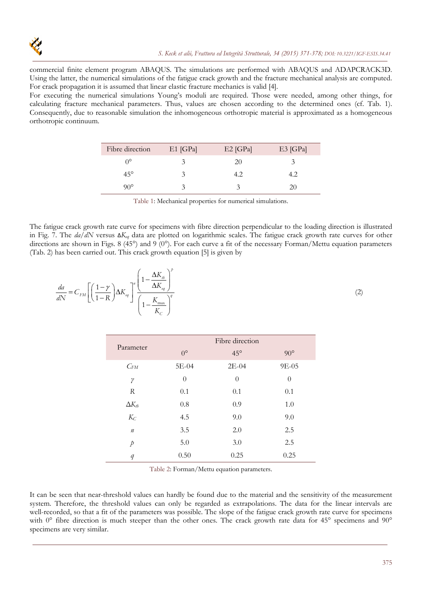commercial finite element program ABAQUS. The simulations are performed with ABAQUS and ADAPCRACK3D. Using the latter, the numerical simulations of the fatigue crack growth and the fracture mechanical analysis are computed. For crack propagation it is assumed that linear elastic fracture mechanics is valid [4].

For executing the numerical simulations Young's moduli are required. Those were needed, among other things, for calculating fracture mechanical parameters. Thus, values are chosen according to the determined ones (cf. Tab. 1). Consequently, due to reasonable simulation the inhomogeneous orthotropic material is approximated as a homogeneous orthotropic continuum.

| Fibre direction | $E1$ [GPa] | $E2$ [GPa] | $E3$ [GPa] |
|-----------------|------------|------------|------------|
| ∩°              |            | 20         |            |
| $45^{\circ}$    | Ć          | 4.2        | 4.2        |
| ου۰             | ́          |            |            |

Table 1: Mechanical properties for numerical simulations.

The fatigue crack growth rate curve for specimens with fibre direction perpendicular to the loading direction is illustrated in Fig. 7. The *da*/*dN* versus Δ*Keq* data are plotted on logarithmic scales. The fatigue crack growth rate curves for other directions are shown in Figs. 8 (45°) and 9 (0°). For each curve a fit of the necessary Forman/Mettu equation parameters (Tab. 2) has been carried out. This crack growth equation [5] is given by

$$
\frac{da}{dN} = C_{FM} \left[ \left( \frac{1 - \gamma}{1 - R} \right) \Delta K_{eq} \right]^{\eta} \left( \frac{1 - \frac{\Delta K_{th}}{\Delta K_{eq}}}{1 - \frac{K_{\text{max}}}{K_c}} \right)^{\eta} \tag{2}
$$

| Parameter       | Fibre direction |              |            |  |
|-----------------|-----------------|--------------|------------|--|
|                 | $0^{\circ}$     | $45^{\circ}$ | $90^\circ$ |  |
| $C_{FM}$        | 5E-04           | $2E-04$      | 9E-05      |  |
| $\gamma$        | $\theta$        | $\theta$     | $\theta$   |  |
| R               | 0.1             | 0.1          | 0.1        |  |
| $\Delta K_{tb}$ | 0.8             | 0.9          | 1.0        |  |
| $K_C$           | 4.5             | 9.0          | 9.0        |  |
| $\it n$         | 3.5             | 2.0          | 2.5        |  |
| $\overline{p}$  | 5.0             | 3.0          | 2.5        |  |
| q               | 0.50            | 0.25         | 0.25       |  |

Table 2: Forman/Mettu equation parameters.

It can be seen that near-threshold values can hardly be found due to the material and the sensitivity of the measurement system. Therefore, the threshold values can only be regarded as extrapolations. The data for the linear intervals are well-recorded, so that a fit of the parameters was possible. The slope of the fatigue crack growth rate curve for specimens with  $0^{\circ}$  fibre direction is much steeper than the other ones. The crack growth rate data for 45° specimens and 90° specimens are very similar.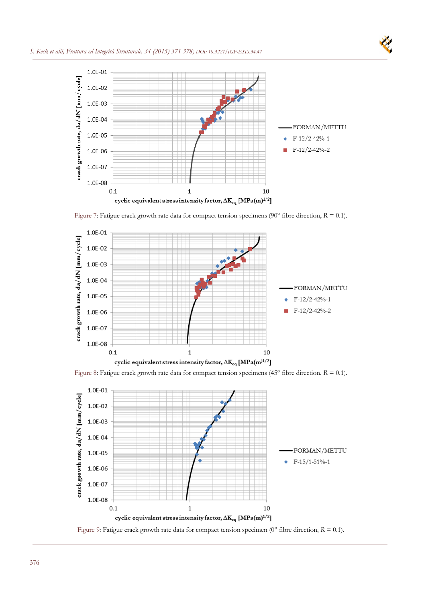

Figure 7: Fatigue crack growth rate data for compact tension specimens (90° fibre direction, *R* = 0.1).







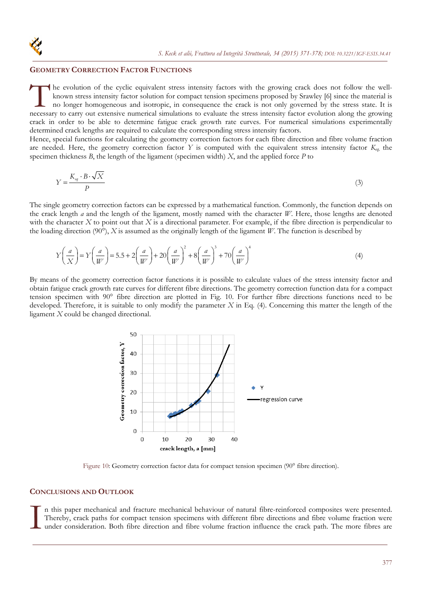## **GEOMETRY CORRECTION FACTOR FUNCTIONS**

he evolution of the cyclic equivalent stress intensity factors with the growing crack does not follow the wellknown stress intensity factor solution for compact tension specimens proposed by Srawley [6] since the material is no longer homogeneous and isotropic, in consequence the crack is not only governed by the stress state. It is The evolution of the cyclic equivalent stress intensity factors with the growing crack does not follow the well-<br>known stress intensity factor solution for compact tension specimens proposed by Srawley [6] since the materi crack in order to be able to determine fatigue crack growth rate curves. For numerical simulations experimentally determined crack lengths are required to calculate the corresponding stress intensity factors.

Hence, special functions for calculating the geometry correction factors for each fibre direction and fibre volume fraction are needed. Here, the geometry correction factor *Y* is computed with the equivalent stress intensity factor *Keq,* the specimen thickness *B*, the length of the ligament (specimen width) *X*, and the applied force *P* to

$$
Y = \frac{K_{eq} \cdot B \cdot \sqrt{X}}{P}
$$
 (3)

The single geometry correction factors can be expressed by a mathematical function. Commonly, the function depends on the crack length *a* and the length of the ligament, mostly named with the character *W*. Here, those lengths are denoted with the character *X* to point out that *X* is a directional parameter. For example, if the fibre direction is perpendicular to the loading direction (90°),  $X$  is assumed as the originally length of the ligament  $W$ . The function is described by

$$
Y\left(\frac{a}{X}\right) = Y\left(\frac{a}{W}\right) = 5.5 + 2\left(\frac{a}{W}\right) + 20\left(\frac{a}{W}\right)^2 + 8\left(\frac{a}{W}\right)^3 + 70\left(\frac{a}{W}\right)^4\tag{4}
$$

By means of the geometry correction factor functions it is possible to calculate values of the stress intensity factor and obtain fatigue crack growth rate curves for different fibre directions. The geometry correction function data for a compact tension specimen with 90° fibre direction are plotted in Fig. 10. For further fibre directions functions need to be developed. Therefore, it is suitable to only modify the parameter *X* in Eq. (4). Concerning this matter the length of the ligament *X* could be changed directional.



Figure 10: Geometry correction factor data for compact tension specimen (90° fibre direction).

## **CONCLUSIONS AND OUTLOOK**

n this paper mechanical and fracture mechanical behaviour of natural fibre-reinforced composites were presented. Thereby, crack paths for compact tension specimens with different fibre directions and fibre volume fraction were under consideration. Both fibre direction and fibre volume fraction influence the crack path. The more fibres are  $\prod_{m=1}^{n}$